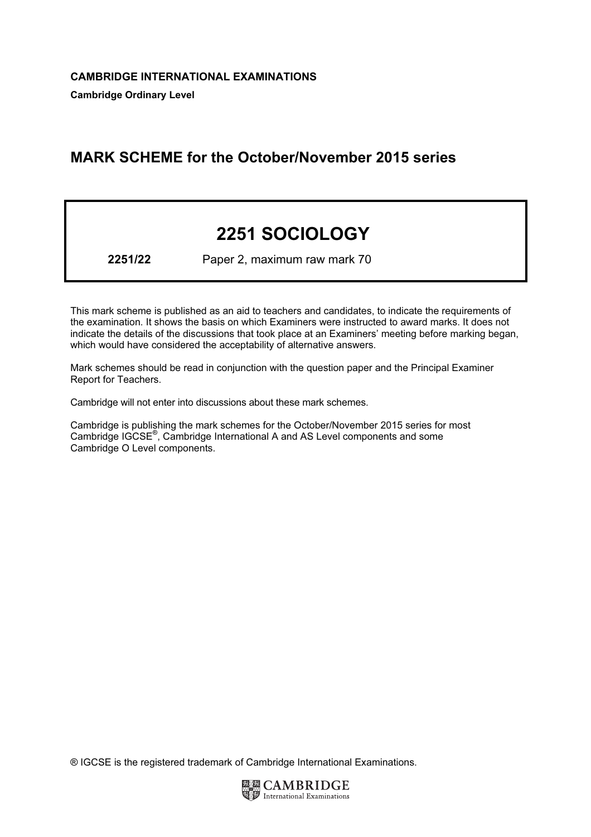## MARK SCHEME for the October/November 2015 series

# 2251 SOCIOLOGY

2251/22 Paper 2, maximum raw mark 70

This mark scheme is published as an aid to teachers and candidates, to indicate the requirements of the examination. It shows the basis on which Examiners were instructed to award marks. It does not indicate the details of the discussions that took place at an Examiners' meeting before marking began, which would have considered the acceptability of alternative answers.

Mark schemes should be read in conjunction with the question paper and the Principal Examiner Report for Teachers.

Cambridge will not enter into discussions about these mark schemes.

Cambridge is publishing the mark schemes for the October/November 2015 series for most Cambridge IGCSE*®* , Cambridge International A and AS Level components and some Cambridge O Level components.

® IGCSE is the registered trademark of Cambridge International Examinations.

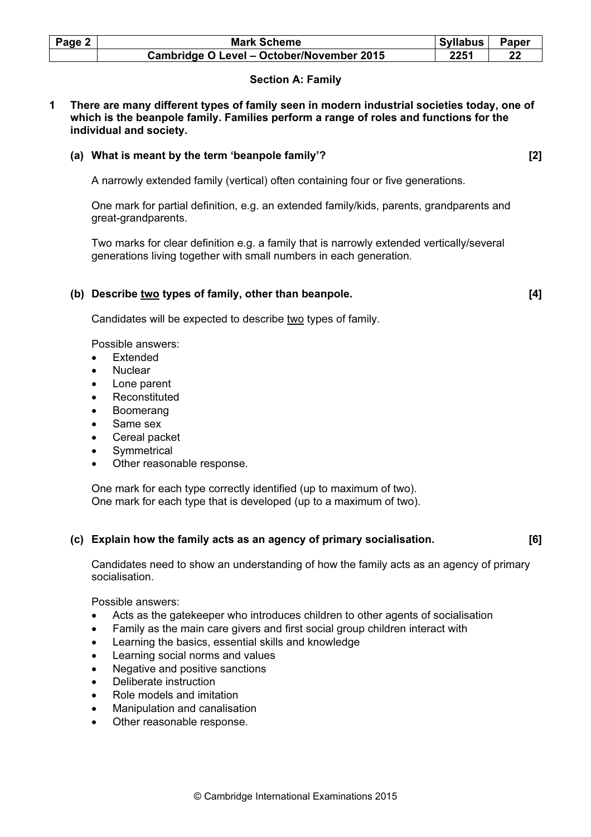| Page 2 | <b>Mark Scheme</b>                        | <b>Syllabus</b> | Paper |
|--------|-------------------------------------------|-----------------|-------|
|        | Cambridge O Level - October/November 2015 | 2251            | 22    |

### Section A: Family

1 There are many different types of family seen in modern industrial societies today, one of which is the beanpole family. Families perform a range of roles and functions for the individual and society.

### (a) What is meant by the term 'beanpole family'? [2]

A narrowly extended family (vertical) often containing four or five generations.

 One mark for partial definition, e.g. an extended family/kids, parents, grandparents and great-grandparents.

 Two marks for clear definition e.g. a family that is narrowly extended vertically/several generations living together with small numbers in each generation.

### (b) Describe two types of family, other than beanpole. [4]

Candidates will be expected to describe two types of family.

Possible answers:

- **Extended**
- Nuclear
- Lone parent
- **Reconstituted**
- Boomerang
- Same sex
- Cereal packet
- **Symmetrical**
- Other reasonable response.

 One mark for each type correctly identified (up to maximum of two). One mark for each type that is developed (up to a maximum of two).

### (c) Explain how the family acts as an agency of primary socialisation. [6]

 Candidates need to show an understanding of how the family acts as an agency of primary socialisation.

Possible answers:

- Acts as the gatekeeper who introduces children to other agents of socialisation
- Family as the main care givers and first social group children interact with
- Learning the basics, essential skills and knowledge
- Learning social norms and values
- Negative and positive sanctions
- Deliberate instruction
- Role models and imitation
- Manipulation and canalisation
- Other reasonable response.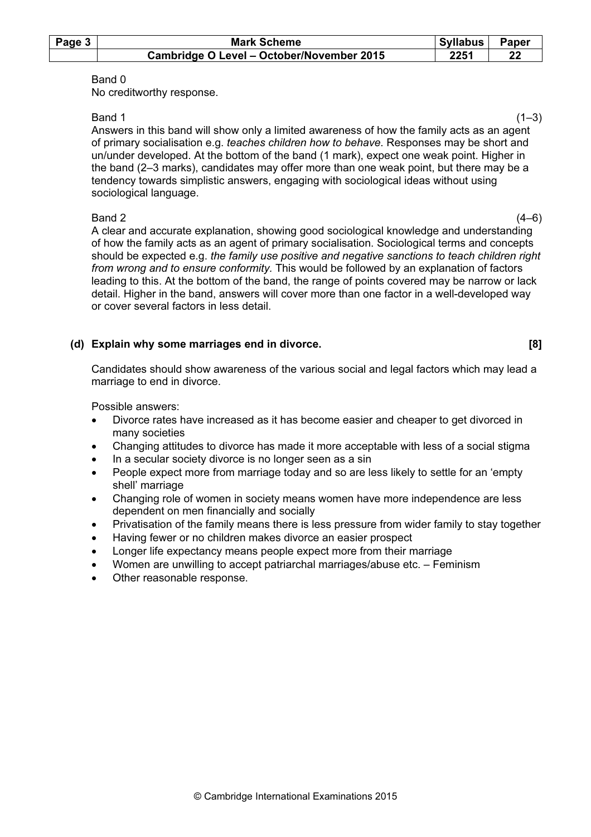| Page $3$ | <b>Mark Scheme</b>                        | Syllabus | <b>Paper</b> |
|----------|-------------------------------------------|----------|--------------|
|          | Cambridge O Level - October/November 2015 | 2251     | 22           |

No creditworthy response.

 $Band 1$  (1–3) Answers in this band will show only a limited awareness of how the family acts as an agent of primary socialisation e.g. teaches children how to behave. Responses may be short and un/under developed. At the bottom of the band (1 mark), expect one weak point. Higher in the band (2–3 marks), candidates may offer more than one weak point, but there may be a tendency towards simplistic answers, engaging with sociological ideas without using sociological language.

 $Band 2$  (4–6) A clear and accurate explanation, showing good sociological knowledge and understanding of how the family acts as an agent of primary socialisation. Sociological terms and concepts should be expected e.g. the family use positive and negative sanctions to teach children right from wrong and to ensure conformity. This would be followed by an explanation of factors leading to this. At the bottom of the band, the range of points covered may be narrow or lack detail. Higher in the band, answers will cover more than one factor in a well-developed way or cover several factors in less detail.

### (d) Explain why some marriages end in divorce. [8]

 Candidates should show awareness of the various social and legal factors which may lead a marriage to end in divorce.

Possible answers:

- Divorce rates have increased as it has become easier and cheaper to get divorced in many societies
- Changing attitudes to divorce has made it more acceptable with less of a social stigma
- In a secular society divorce is no longer seen as a sin
- People expect more from marriage today and so are less likely to settle for an 'empty shell' marriage
- Changing role of women in society means women have more independence are less dependent on men financially and socially
- Privatisation of the family means there is less pressure from wider family to stay together
- Having fewer or no children makes divorce an easier prospect
- Longer life expectancy means people expect more from their marriage
- Women are unwilling to accept patriarchal marriages/abuse etc. Feminism
- Other reasonable response.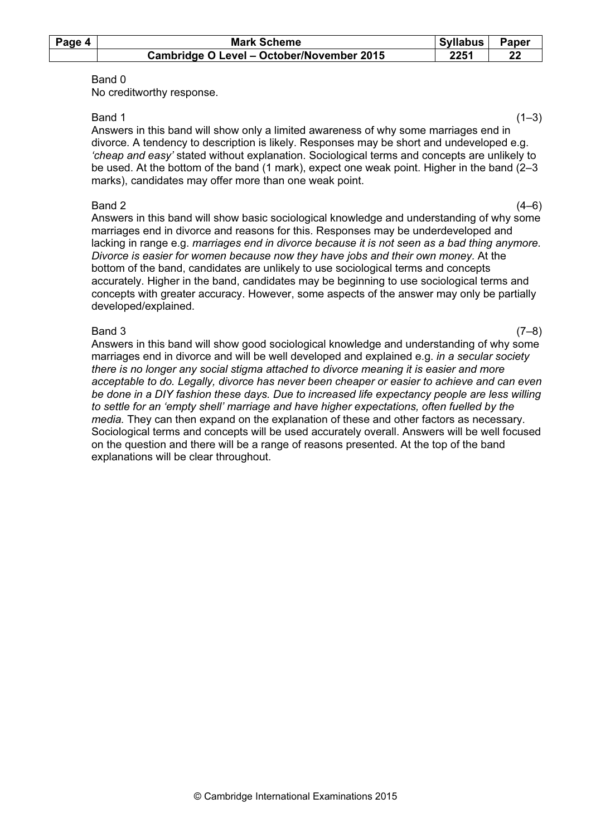| Page 4 | <b>Mark Scheme</b>                        | Syllabus | Paper |
|--------|-------------------------------------------|----------|-------|
|        | Cambridge O Level - October/November 2015 | 2251     | 22    |

No creditworthy response.

 $Band 1$  (1–3) Answers in this band will show only a limited awareness of why some marriages end in divorce. A tendency to description is likely. Responses may be short and undeveloped e.g. 'cheap and easy' stated without explanation. Sociological terms and concepts are unlikely to be used. At the bottom of the band (1 mark), expect one weak point. Higher in the band (2–3 marks), candidates may offer more than one weak point.

 $Band 2$  (4–6) Answers in this band will show basic sociological knowledge and understanding of why some marriages end in divorce and reasons for this. Responses may be underdeveloped and lacking in range e.g. marriages end in divorce because it is not seen as a bad thing anymore. Divorce is easier for women because now they have jobs and their own money. At the bottom of the band, candidates are unlikely to use sociological terms and concepts accurately. Higher in the band, candidates may be beginning to use sociological terms and concepts with greater accuracy. However, some aspects of the answer may only be partially developed/explained.

 $Band\ 3$  (7–8) Answers in this band will show good sociological knowledge and understanding of why some marriages end in divorce and will be well developed and explained e.g. in a secular society there is no longer any social stigma attached to divorce meaning it is easier and more acceptable to do. Legally, divorce has never been cheaper or easier to achieve and can even be done in a DIY fashion these days. Due to increased life expectancy people are less willing to settle for an 'empty shell' marriage and have higher expectations, often fuelled by the media. They can then expand on the explanation of these and other factors as necessary. Sociological terms and concepts will be used accurately overall. Answers will be well focused on the question and there will be a range of reasons presented. At the top of the band explanations will be clear throughout.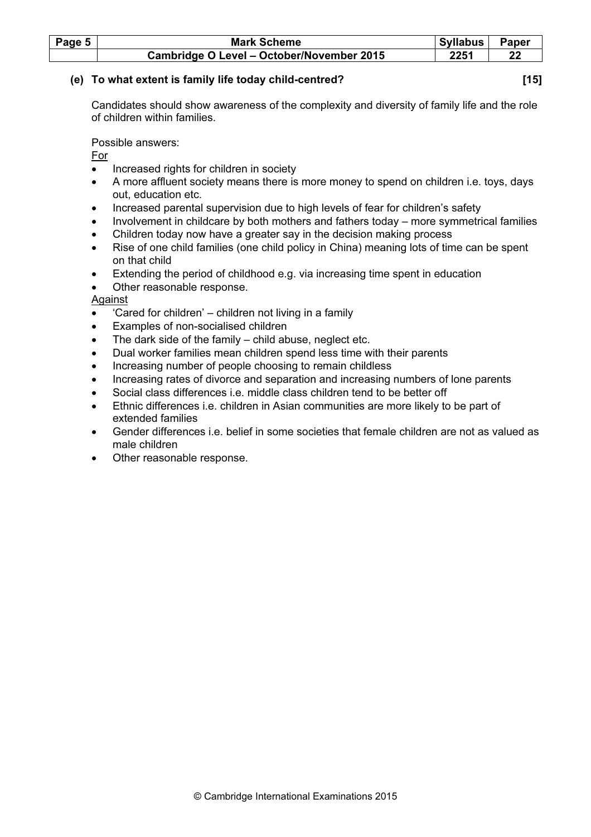| Page 5 | <b>Mark Scheme</b>                        | Syllabus | <b>Paper</b> |
|--------|-------------------------------------------|----------|--------------|
|        | Cambridge O Level - October/November 2015 | 2251     | 22           |

### (e) To what extent is family life today child-centred? [15]

 Candidates should show awareness of the complexity and diversity of family life and the role of children within families.

Possible answers:

For

- Increased rights for children in society
- A more affluent society means there is more money to spend on children i.e. toys, days out, education etc.
- Increased parental supervision due to high levels of fear for children's safety
- Involvement in childcare by both mothers and fathers today more symmetrical families
- Children today now have a greater say in the decision making process
- Rise of one child families (one child policy in China) meaning lots of time can be spent on that child
- Extending the period of childhood e.g. via increasing time spent in education
- Other reasonable response.

### Against

- 'Cared for children' children not living in a family
- Examples of non-socialised children
- The dark side of the family  $-$  child abuse, neglect etc.
- Dual worker families mean children spend less time with their parents
- Increasing number of people choosing to remain childless
- Increasing rates of divorce and separation and increasing numbers of lone parents
- Social class differences i.e. middle class children tend to be better off
- Ethnic differences i.e. children in Asian communities are more likely to be part of extended families
- Gender differences i.e. belief in some societies that female children are not as valued as male children
- Other reasonable response.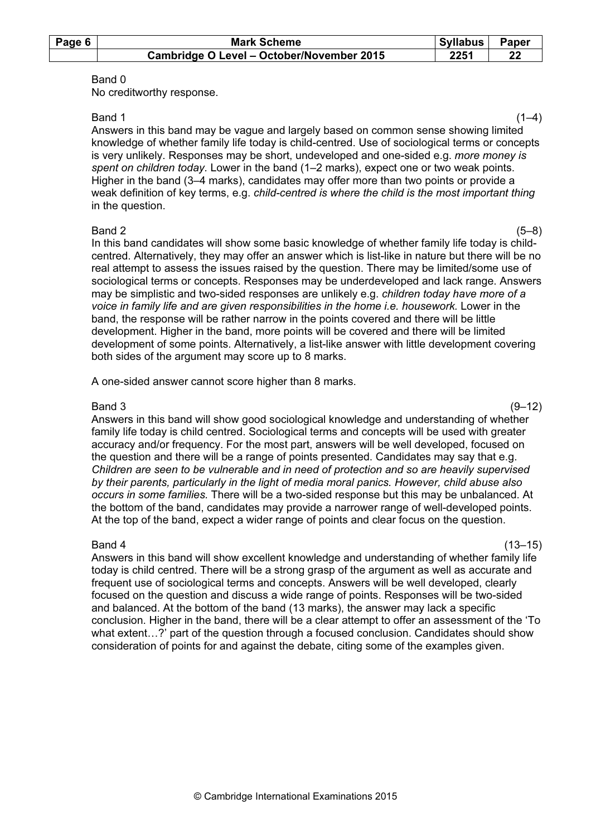| Page 6 | <b>Mark Scheme</b>                        | <b>Syllabus</b> | Paper |
|--------|-------------------------------------------|-----------------|-------|
|        | Cambridge O Level - October/November 2015 | 2251            |       |

No creditworthy response.

 $Band 1$  (1–4) Answers in this band may be vague and largely based on common sense showing limited knowledge of whether family life today is child-centred. Use of sociological terms or concepts is very unlikely. Responses may be short, undeveloped and one-sided e.g. more money is spent on children today. Lower in the band (1–2 marks), expect one or two weak points. Higher in the band (3–4 marks), candidates may offer more than two points or provide a weak definition of key terms, e.g. child-centred is where the child is the most important thing in the question.

 $Band 2$  (5–8) In this band candidates will show some basic knowledge of whether family life today is childcentred. Alternatively, they may offer an answer which is list-like in nature but there will be no real attempt to assess the issues raised by the question. There may be limited/some use of sociological terms or concepts. Responses may be underdeveloped and lack range. Answers may be simplistic and two-sided responses are unlikely e.g. children today have more of a voice in family life and are given responsibilities in the home i.e. housework. Lower in the band, the response will be rather narrow in the points covered and there will be little development. Higher in the band, more points will be covered and there will be limited development of some points. Alternatively, a list-like answer with little development covering both sides of the argument may score up to 8 marks.

A one-sided answer cannot score higher than 8 marks.

 $Band\ 3$  (9–12) Answers in this band will show good sociological knowledge and understanding of whether family life today is child centred. Sociological terms and concepts will be used with greater accuracy and/or frequency. For the most part, answers will be well developed, focused on the question and there will be a range of points presented. Candidates may say that e.g. Children are seen to be vulnerable and in need of protection and so are heavily supervised by their parents, particularly in the light of media moral panics. However, child abuse also occurs in some families. There will be a two-sided response but this may be unbalanced. At the bottom of the band, candidates may provide a narrower range of well-developed points. At the top of the band, expect a wider range of points and clear focus on the question.

 $Band 4$  (13–15) Answers in this band will show excellent knowledge and understanding of whether family life today is child centred. There will be a strong grasp of the argument as well as accurate and frequent use of sociological terms and concepts. Answers will be well developed, clearly focused on the question and discuss a wide range of points. Responses will be two-sided and balanced. At the bottom of the band (13 marks), the answer may lack a specific conclusion. Higher in the band, there will be a clear attempt to offer an assessment of the 'To what extent...?' part of the question through a focused conclusion. Candidates should show consideration of points for and against the debate, citing some of the examples given.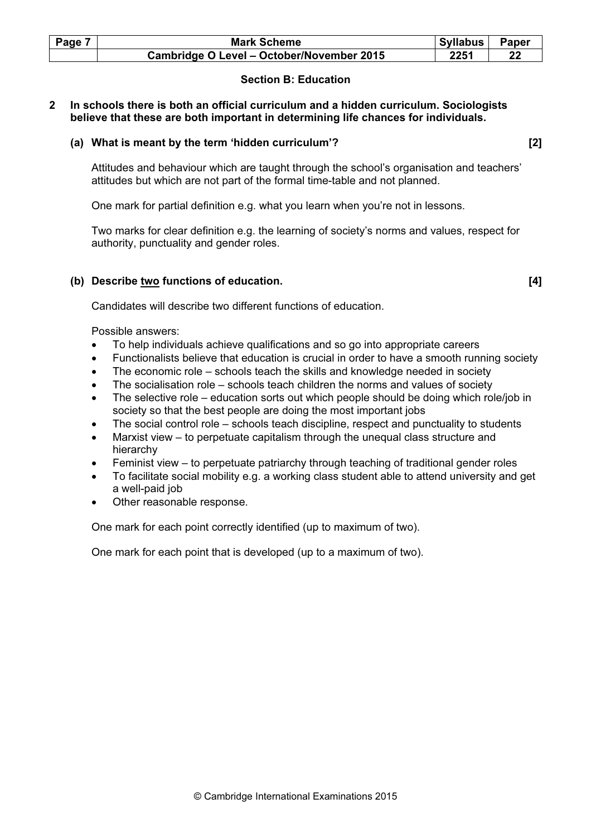| Page 7 | <b>Mark Scheme</b>                        | Syllabus | <b>Paper</b> |
|--------|-------------------------------------------|----------|--------------|
|        | Cambridge O Level - October/November 2015 | 2251     |              |

### Section B: Education

### 2 In schools there is both an official curriculum and a hidden curriculum. Sociologists believe that these are both important in determining life chances for individuals.

### (a) What is meant by the term 'hidden curriculum'? [2]

 Attitudes and behaviour which are taught through the school's organisation and teachers' attitudes but which are not part of the formal time-table and not planned.

One mark for partial definition e.g. what you learn when you're not in lessons.

 Two marks for clear definition e.g. the learning of society's norms and values, respect for authority, punctuality and gender roles.

### (b) Describe two functions of education. [4]

Candidates will describe two different functions of education.

Possible answers:

- To help individuals achieve qualifications and so go into appropriate careers
- Functionalists believe that education is crucial in order to have a smooth running society
- The economic role schools teach the skills and knowledge needed in society
- The socialisation role  $-$  schools teach children the norms and values of society
- The selective role education sorts out which people should be doing which role/job in society so that the best people are doing the most important jobs
- The social control role schools teach discipline, respect and punctuality to students
- Marxist view to perpetuate capitalism through the unequal class structure and hierarchy
- Feminist view to perpetuate patriarchy through teaching of traditional gender roles
- To facilitate social mobility e.g. a working class student able to attend university and get a well-paid job
- Other reasonable response.

One mark for each point correctly identified (up to maximum of two).

One mark for each point that is developed (up to a maximum of two).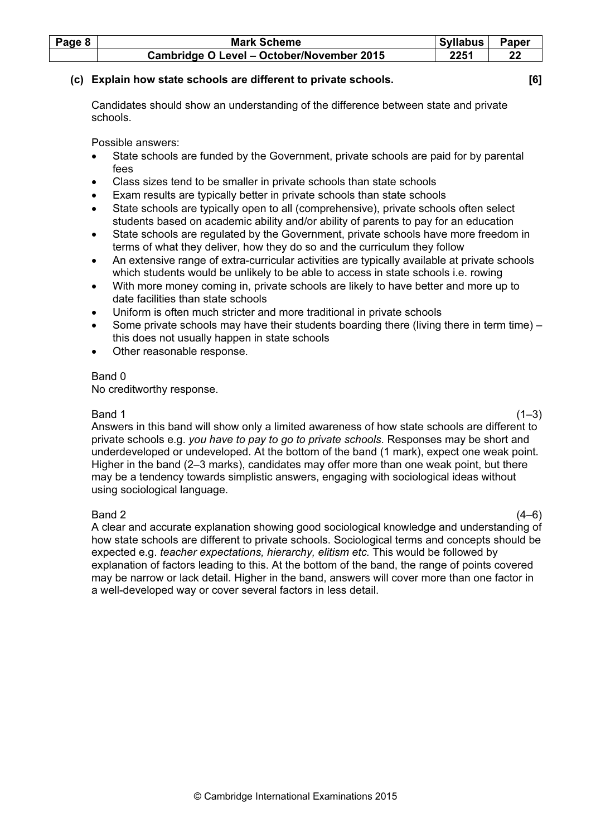| Page 8 | <b>Mark Scheme</b>                        | Syllabus | Paper |
|--------|-------------------------------------------|----------|-------|
|        | Cambridge O Level - October/November 2015 | 2251     |       |

### (c) Explain how state schools are different to private schools. [6]

 Candidates should show an understanding of the difference between state and private schools.

Possible answers:

- State schools are funded by the Government, private schools are paid for by parental fees
- Class sizes tend to be smaller in private schools than state schools
- Exam results are typically better in private schools than state schools
- State schools are typically open to all (comprehensive), private schools often select students based on academic ability and/or ability of parents to pay for an education
- State schools are regulated by the Government, private schools have more freedom in terms of what they deliver, how they do so and the curriculum they follow
- An extensive range of extra-curricular activities are typically available at private schools which students would be unlikely to be able to access in state schools i.e. rowing
- With more money coming in, private schools are likely to have better and more up to date facilities than state schools
- Uniform is often much stricter and more traditional in private schools
- Some private schools may have their students boarding there (living there in term time) this does not usually happen in state schools
- Other reasonable response.

### Band 0

No creditworthy response.

 $Band 1$  (1–3) Answers in this band will show only a limited awareness of how state schools are different to private schools e.g. you have to pay to go to private schools. Responses may be short and underdeveloped or undeveloped. At the bottom of the band (1 mark), expect one weak point. Higher in the band (2–3 marks), candidates may offer more than one weak point, but there may be a tendency towards simplistic answers, engaging with sociological ideas without using sociological language.

 $Band 2$  (4–6) A clear and accurate explanation showing good sociological knowledge and understanding of how state schools are different to private schools. Sociological terms and concepts should be expected e.g. teacher expectations, hierarchy, elitism etc. This would be followed by explanation of factors leading to this. At the bottom of the band, the range of points covered may be narrow or lack detail. Higher in the band, answers will cover more than one factor in a well-developed way or cover several factors in less detail.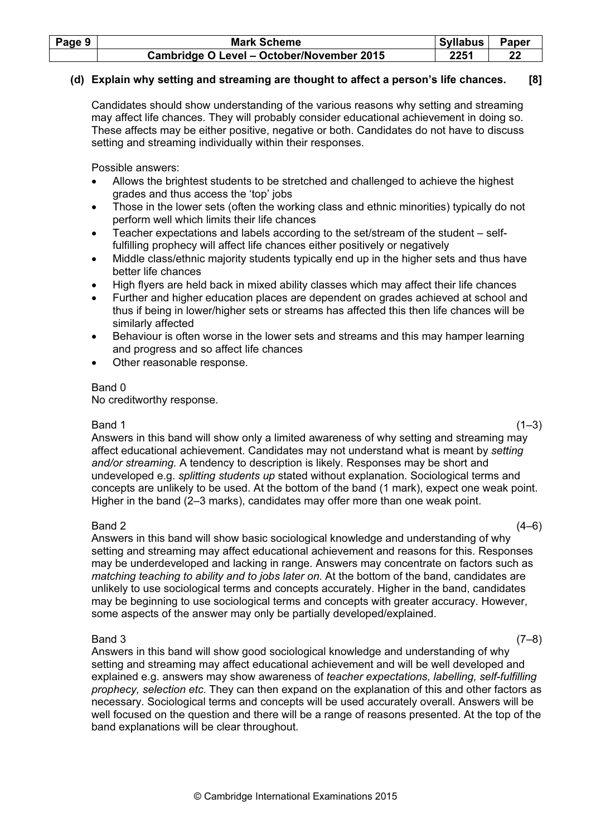| Page 9 | <b>Mark Scheme</b>                        | <b>Syllabus</b> | Paper |
|--------|-------------------------------------------|-----------------|-------|
|        | Cambridge O Level - October/November 2015 | 2251            |       |

### (d) Explain why setting and streaming are thought to affect a person's life chances. [8]

 Candidates should show understanding of the various reasons why setting and streaming may affect life chances. They will probably consider educational achievement in doing so. These affects may be either positive, negative or both. Candidates do not have to discuss setting and streaming individually within their responses.

Possible answers:

- Allows the brightest students to be stretched and challenged to achieve the highest grades and thus access the 'top' jobs
- Those in the lower sets (often the working class and ethnic minorities) typically do not perform well which limits their life chances
- Teacher expectations and labels according to the set/stream of the student selffulfilling prophecy will affect life chances either positively or negatively
- Middle class/ethnic majority students typically end up in the higher sets and thus have better life chances
- High flyers are held back in mixed ability classes which may affect their life chances
- Further and higher education places are dependent on grades achieved at school and thus if being in lower/higher sets or streams has affected this then life chances will be similarly affected
- Behaviour is often worse in the lower sets and streams and this may hamper learning and progress and so affect life chances
- Other reasonable response.

### Band 0

No creditworthy response.

 $Band 1$  (1–3) Answers in this band will show only a limited awareness of why setting and streaming may affect educational achievement. Candidates may not understand what is meant by setting and/or streaming. A tendency to description is likely. Responses may be short and undeveloped e.g. splitting students up stated without explanation. Sociological terms and concepts are unlikely to be used. At the bottom of the band (1 mark), expect one weak point. Higher in the band (2–3 marks), candidates may offer more than one weak point.

 $Band 2$  (4–6) Answers in this band will show basic sociological knowledge and understanding of why setting and streaming may affect educational achievement and reasons for this. Responses may be underdeveloped and lacking in range. Answers may concentrate on factors such as matching teaching to ability and to jobs later on. At the bottom of the band, candidates are unlikely to use sociological terms and concepts accurately. Higher in the band, candidates may be beginning to use sociological terms and concepts with greater accuracy. However, some aspects of the answer may only be partially developed/explained.

### $Band\ 3$  (7–8)

 Answers in this band will show good sociological knowledge and understanding of why setting and streaming may affect educational achievement and will be well developed and explained e.g. answers may show awareness of teacher expectations, labelling, self-fulfilling prophecy, selection etc. They can then expand on the explanation of this and other factors as necessary. Sociological terms and concepts will be used accurately overall. Answers will be well focused on the question and there will be a range of reasons presented. At the top of the band explanations will be clear throughout.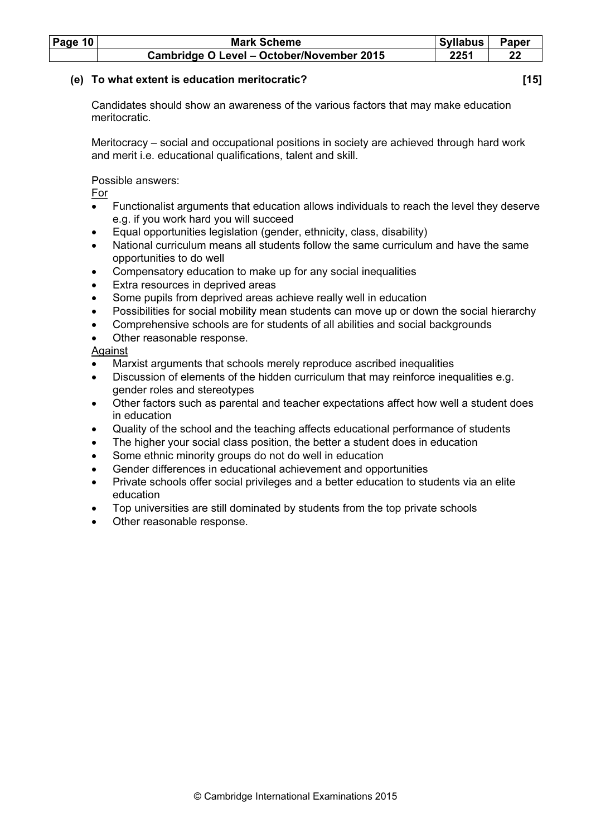| Page $10$ | <b>Mark Scheme</b>                        | Syllabus | <b>Paper</b> |
|-----------|-------------------------------------------|----------|--------------|
|           | Cambridge O Level - October/November 2015 | 2251     |              |

### (e) To what extent is education meritocratic? [15]

 Candidates should show an awareness of the various factors that may make education meritocratic.

 Meritocracy – social and occupational positions in society are achieved through hard work and merit i.e. educational qualifications, talent and skill.

Possible answers:

For

- Functionalist arguments that education allows individuals to reach the level they deserve e.g. if you work hard you will succeed
- Equal opportunities legislation (gender, ethnicity, class, disability)
- National curriculum means all students follow the same curriculum and have the same opportunities to do well
- Compensatory education to make up for any social inequalities
- Extra resources in deprived areas
- Some pupils from deprived areas achieve really well in education
- Possibilities for social mobility mean students can move up or down the social hierarchy
- Comprehensive schools are for students of all abilities and social backgrounds
- Other reasonable response.

Against

- Marxist arguments that schools merely reproduce ascribed inequalities
- Discussion of elements of the hidden curriculum that may reinforce inequalities e.g. gender roles and stereotypes
- Other factors such as parental and teacher expectations affect how well a student does in education
- Quality of the school and the teaching affects educational performance of students
- The higher your social class position, the better a student does in education
- Some ethnic minority groups do not do well in education
- Gender differences in educational achievement and opportunities
- Private schools offer social privileges and a better education to students via an elite education
- Top universities are still dominated by students from the top private schools
- Other reasonable response.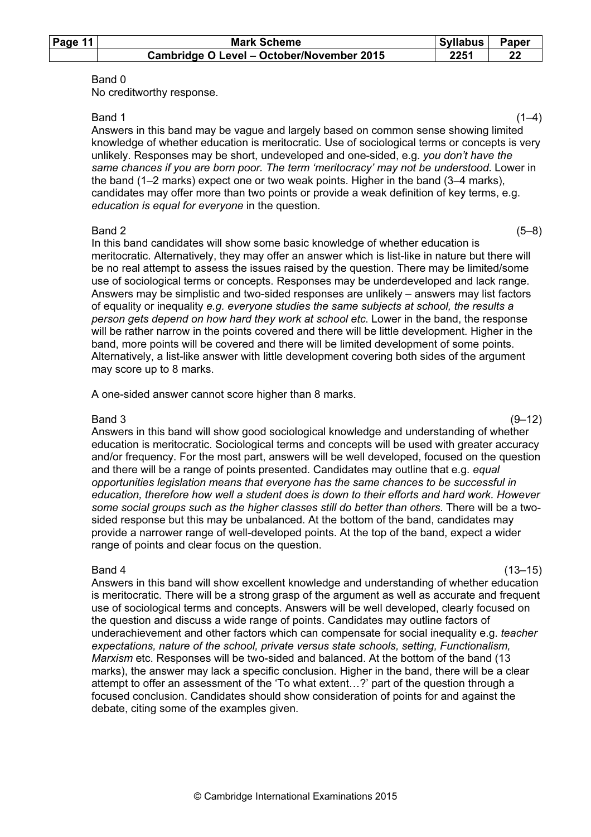| Page 11 | <b>Mark Scheme</b>                        | Syllabus | Paper |
|---------|-------------------------------------------|----------|-------|
|         | Cambridge O Level - October/November 2015 | 2251     |       |

No creditworthy response.

 $Band 1$  (1–4) Answers in this band may be vague and largely based on common sense showing limited knowledge of whether education is meritocratic. Use of sociological terms or concepts is very unlikely. Responses may be short, undeveloped and one-sided, e.g. you don't have the same chances if you are born poor. The term 'meritocracy' may not be understood. Lower in the band (1–2 marks) expect one or two weak points. Higher in the band (3–4 marks), candidates may offer more than two points or provide a weak definition of key terms, e.g. education is equal for everyone in the question.

#### $Band 2$  (5–8)

 In this band candidates will show some basic knowledge of whether education is meritocratic. Alternatively, they may offer an answer which is list-like in nature but there will be no real attempt to assess the issues raised by the question. There may be limited/some use of sociological terms or concepts. Responses may be underdeveloped and lack range. Answers may be simplistic and two-sided responses are unlikely – answers may list factors of equality or inequality e.g. everyone studies the same subjects at school, the results a person gets depend on how hard they work at school etc. Lower in the band, the response will be rather narrow in the points covered and there will be little development. Higher in the band, more points will be covered and there will be limited development of some points. Alternatively, a list-like answer with little development covering both sides of the argument may score up to 8 marks.

A one-sided answer cannot score higher than 8 marks.

 $Band\ 3$  (9–12) Answers in this band will show good sociological knowledge and understanding of whether education is meritocratic. Sociological terms and concepts will be used with greater accuracy and/or frequency. For the most part, answers will be well developed, focused on the question and there will be a range of points presented. Candidates may outline that e.g. equal opportunities legislation means that everyone has the same chances to be successful in education, therefore how well a student does is down to their efforts and hard work. However some social groups such as the higher classes still do better than others. There will be a twosided response but this may be unbalanced. At the bottom of the band, candidates may provide a narrower range of well-developed points. At the top of the band, expect a wider range of points and clear focus on the question.

 $Band 4$  (13–15) Answers in this band will show excellent knowledge and understanding of whether education is meritocratic. There will be a strong grasp of the argument as well as accurate and frequent use of sociological terms and concepts. Answers will be well developed, clearly focused on the question and discuss a wide range of points. Candidates may outline factors of underachievement and other factors which can compensate for social inequality e.g. teacher expectations, nature of the school, private versus state schools, setting, Functionalism, Marxism etc. Responses will be two-sided and balanced. At the bottom of the band (13 marks), the answer may lack a specific conclusion. Higher in the band, there will be a clear attempt to offer an assessment of the 'To what extent…?' part of the question through a focused conclusion. Candidates should show consideration of points for and against the debate, citing some of the examples given.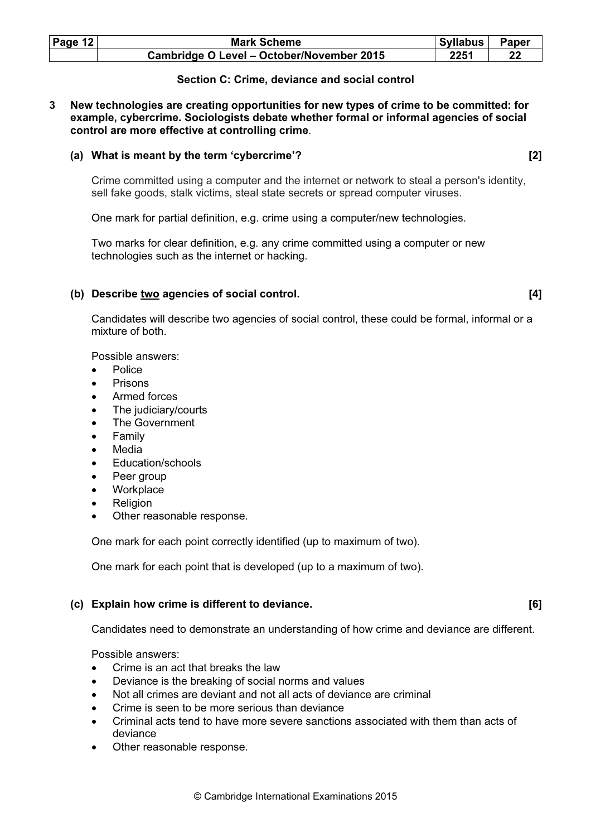| Page $12$ | <b>Mark Scheme</b>                        | Syllabus | Paper |
|-----------|-------------------------------------------|----------|-------|
|           | Cambridge O Level - October/November 2015 | 2251     | 22    |

### Section C: Crime, deviance and social control

3 New technologies are creating opportunities for new types of crime to be committed: for example, cybercrime. Sociologists debate whether formal or informal agencies of social control are more effective at controlling crime.

### (a) What is meant by the term 'cybercrime'? [2]

 Crime committed using a computer and the internet or network to steal a person's identity, sell fake goods, stalk victims, steal state secrets or spread computer viruses.

One mark for partial definition, e.g. crime using a computer/new technologies.

 Two marks for clear definition, e.g. any crime committed using a computer or new technologies such as the internet or hacking.

### (b) Describe two agencies of social control. [4]

 Candidates will describe two agencies of social control, these could be formal, informal or a mixture of both.

Possible answers:

- Police
- Prisons
- Armed forces
- The judiciary/courts
- The Government
- **Family**
- **Media**
- Education/schools
- Peer group
- **Workplace**
- **Religion**
- Other reasonable response.

One mark for each point correctly identified (up to maximum of two).

One mark for each point that is developed (up to a maximum of two).

### (c) Explain how crime is different to deviance. [6]

Candidates need to demonstrate an understanding of how crime and deviance are different.

Possible answers:

- Crime is an act that breaks the law
- Deviance is the breaking of social norms and values
- Not all crimes are deviant and not all acts of deviance are criminal
- Crime is seen to be more serious than deviance
- Criminal acts tend to have more severe sanctions associated with them than acts of deviance
- Other reasonable response.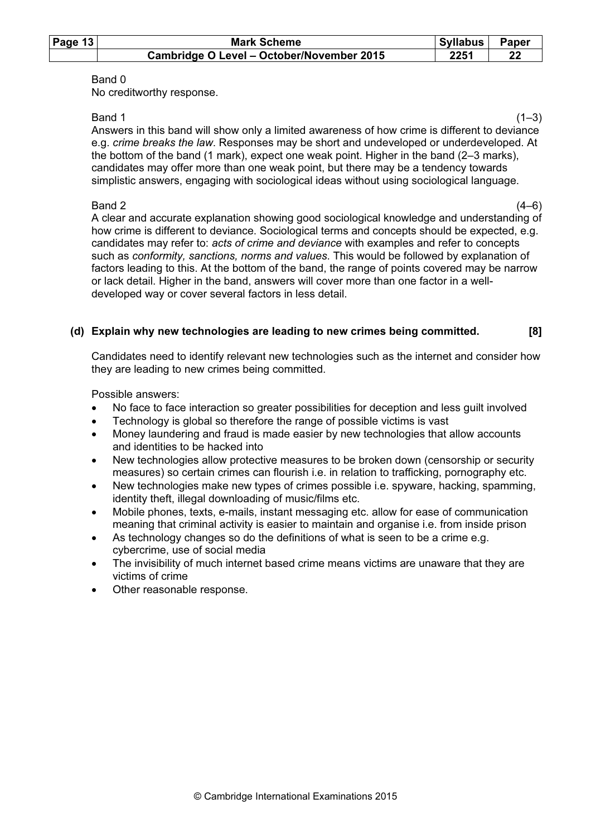| Page $13$ | <b>Mark Scheme</b>                        | Syllabus | Paper |
|-----------|-------------------------------------------|----------|-------|
|           | Cambridge O Level - October/November 2015 | 2251     |       |

No creditworthy response.

 $Band 1$  (1–3) Answers in this band will show only a limited awareness of how crime is different to deviance e.g. crime breaks the law. Responses may be short and undeveloped or underdeveloped. At the bottom of the band (1 mark), expect one weak point. Higher in the band (2–3 marks), candidates may offer more than one weak point, but there may be a tendency towards simplistic answers, engaging with sociological ideas without using sociological language.

 $Band 2$  (4–6) A clear and accurate explanation showing good sociological knowledge and understanding of how crime is different to deviance. Sociological terms and concepts should be expected, e.g. candidates may refer to: acts of crime and deviance with examples and refer to concepts such as conformity, sanctions, norms and values. This would be followed by explanation of factors leading to this. At the bottom of the band, the range of points covered may be narrow or lack detail. Higher in the band, answers will cover more than one factor in a welldeveloped way or cover several factors in less detail.

### (d) Explain why new technologies are leading to new crimes being committed. [8]

 Candidates need to identify relevant new technologies such as the internet and consider how they are leading to new crimes being committed.

Possible answers:

- No face to face interaction so greater possibilities for deception and less guilt involved
- Technology is global so therefore the range of possible victims is vast
- Money laundering and fraud is made easier by new technologies that allow accounts and identities to be hacked into
- New technologies allow protective measures to be broken down (censorship or security measures) so certain crimes can flourish i.e. in relation to trafficking, pornography etc.
- New technologies make new types of crimes possible i.e. spyware, hacking, spamming, identity theft, illegal downloading of music/films etc.
- Mobile phones, texts, e-mails, instant messaging etc. allow for ease of communication meaning that criminal activity is easier to maintain and organise i.e. from inside prison
- As technology changes so do the definitions of what is seen to be a crime e.g. cybercrime, use of social media
- The invisibility of much internet based crime means victims are unaware that they are victims of crime
- Other reasonable response.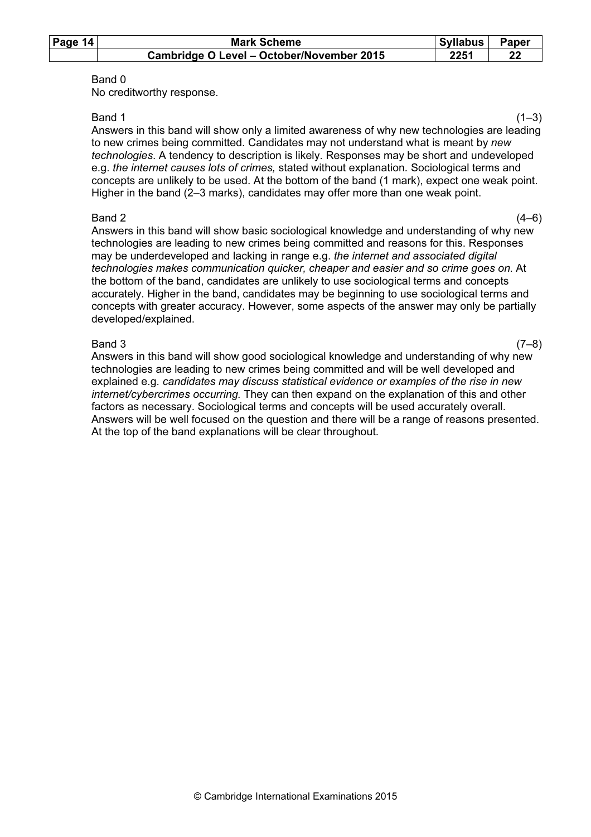| Page 14 | <b>Mark Scheme</b>                        | Syllabus | Paper |
|---------|-------------------------------------------|----------|-------|
|         | Cambridge O Level - October/November 2015 | 2251     |       |

No creditworthy response.

 $Band 1$  (1–3) Answers in this band will show only a limited awareness of why new technologies are leading to new crimes being committed. Candidates may not understand what is meant by new technologies. A tendency to description is likely. Responses may be short and undeveloped e.g. the internet causes lots of crimes, stated without explanation. Sociological terms and concepts are unlikely to be used. At the bottom of the band (1 mark), expect one weak point. Higher in the band (2–3 marks), candidates may offer more than one weak point.

### $Band 2$  (4–6)

 Answers in this band will show basic sociological knowledge and understanding of why new technologies are leading to new crimes being committed and reasons for this. Responses may be underdeveloped and lacking in range e.g. the internet and associated digital technologies makes communication quicker, cheaper and easier and so crime goes on. At the bottom of the band, candidates are unlikely to use sociological terms and concepts accurately. Higher in the band, candidates may be beginning to use sociological terms and concepts with greater accuracy. However, some aspects of the answer may only be partially developed/explained.

 $Band\ 3$  (7–8) Answers in this band will show good sociological knowledge and understanding of why new technologies are leading to new crimes being committed and will be well developed and explained e.g. candidates may discuss statistical evidence or examples of the rise in new internet/cybercrimes occurring. They can then expand on the explanation of this and other factors as necessary. Sociological terms and concepts will be used accurately overall. Answers will be well focused on the question and there will be a range of reasons presented. At the top of the band explanations will be clear throughout.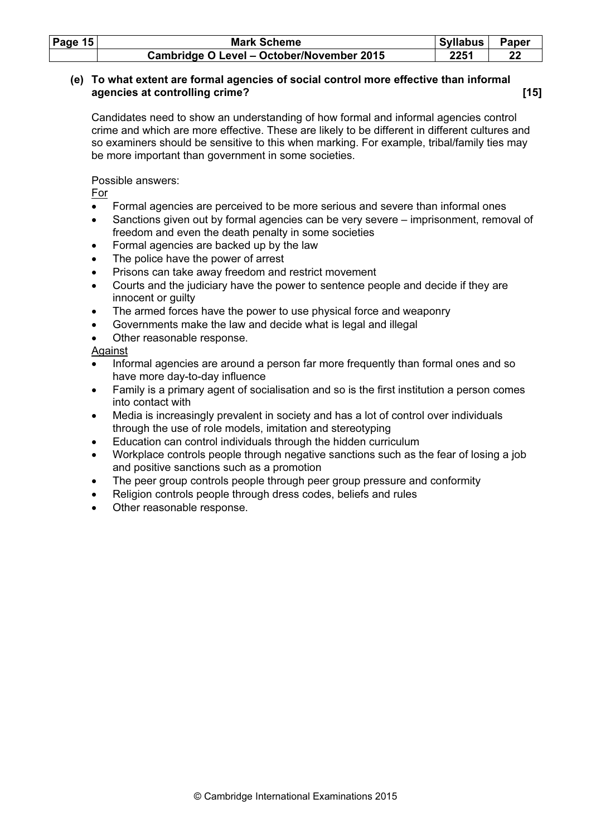| Page $15$ | <b>Mark Scheme</b>                        | <b>Syllabus</b> | <b>Paper</b> |
|-----------|-------------------------------------------|-----------------|--------------|
|           | Cambridge O Level - October/November 2015 | 2251            | 22           |

### (e) To what extent are formal agencies of social control more effective than informal agencies at controlling crime? **Example 2** and the set of the set of the set of the set of the set of the set of the set of the set of the set of the set of the set of the set of the set of the set of the set of the set of

 Candidates need to show an understanding of how formal and informal agencies control crime and which are more effective. These are likely to be different in different cultures and so examiners should be sensitive to this when marking. For example, tribal/family ties may be more important than government in some societies.

Possible answers:

For

- Formal agencies are perceived to be more serious and severe than informal ones
- Sanctions given out by formal agencies can be very severe imprisonment, removal of freedom and even the death penalty in some societies
- Formal agencies are backed up by the law
- The police have the power of arrest
- Prisons can take away freedom and restrict movement
- Courts and the judiciary have the power to sentence people and decide if they are innocent or guilty
- The armed forces have the power to use physical force and weaponry
- Governments make the law and decide what is legal and illegal
- Other reasonable response.

Against

- Informal agencies are around a person far more frequently than formal ones and so have more day-to-day influence
- Family is a primary agent of socialisation and so is the first institution a person comes into contact with
- Media is increasingly prevalent in society and has a lot of control over individuals through the use of role models, imitation and stereotyping
- Education can control individuals through the hidden curriculum
- Workplace controls people through negative sanctions such as the fear of losing a job and positive sanctions such as a promotion
- The peer group controls people through peer group pressure and conformity
- Religion controls people through dress codes, beliefs and rules
- Other reasonable response.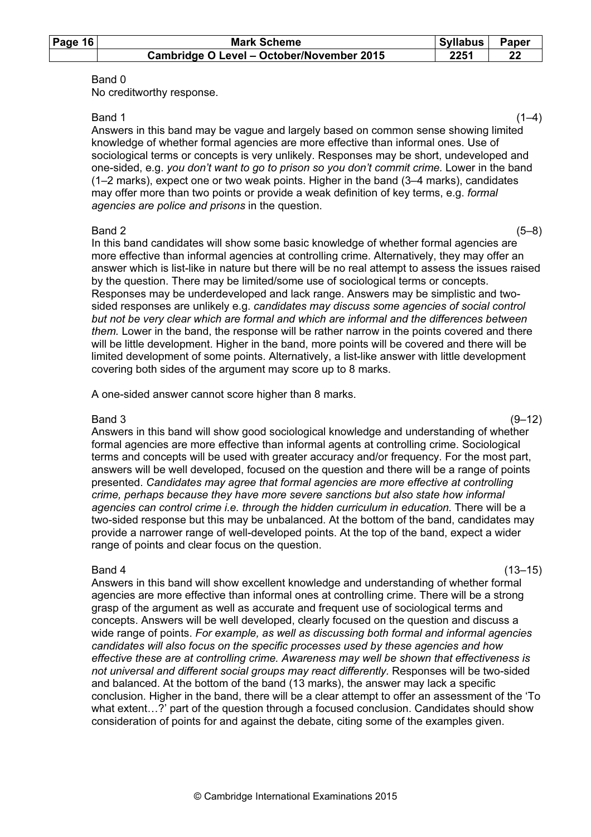| Page $16$ | <b>Mark Scheme</b>                        | Syllabus | Paper |
|-----------|-------------------------------------------|----------|-------|
|           | Cambridge O Level - October/November 2015 | 2251     |       |

No creditworthy response.

 $Band 1$  (1–4) Answers in this band may be vague and largely based on common sense showing limited knowledge of whether formal agencies are more effective than informal ones. Use of sociological terms or concepts is very unlikely. Responses may be short, undeveloped and one-sided, e.g. you don't want to go to prison so you don't commit crime. Lower in the band (1–2 marks), expect one or two weak points. Higher in the band (3–4 marks), candidates may offer more than two points or provide a weak definition of key terms, e.g. formal agencies are police and prisons in the question.

#### $Band 2$  (5–8)

 In this band candidates will show some basic knowledge of whether formal agencies are more effective than informal agencies at controlling crime. Alternatively, they may offer an answer which is list-like in nature but there will be no real attempt to assess the issues raised by the question. There may be limited/some use of sociological terms or concepts. Responses may be underdeveloped and lack range. Answers may be simplistic and twosided responses are unlikely e.g. candidates may discuss some agencies of social control but not be very clear which are formal and which are informal and the differences between them. Lower in the band, the response will be rather narrow in the points covered and there will be little development. Higher in the band, more points will be covered and there will be limited development of some points. Alternatively, a list-like answer with little development covering both sides of the argument may score up to 8 marks.

A one-sided answer cannot score higher than 8 marks.

### $Band\ 3$  (9–12)

 Answers in this band will show good sociological knowledge and understanding of whether formal agencies are more effective than informal agents at controlling crime. Sociological terms and concepts will be used with greater accuracy and/or frequency. For the most part, answers will be well developed, focused on the question and there will be a range of points presented. Candidates may agree that formal agencies are more effective at controlling crime, perhaps because they have more severe sanctions but also state how informal agencies can control crime i.e. through the hidden curriculum in education. There will be a two-sided response but this may be unbalanced. At the bottom of the band, candidates may provide a narrower range of well-developed points. At the top of the band, expect a wider range of points and clear focus on the question.

 $Band 4$  (13–15) Answers in this band will show excellent knowledge and understanding of whether formal agencies are more effective than informal ones at controlling crime. There will be a strong grasp of the argument as well as accurate and frequent use of sociological terms and concepts. Answers will be well developed, clearly focused on the question and discuss a wide range of points. For example, as well as discussing both formal and informal agencies candidates will also focus on the specific processes used by these agencies and how effective these are at controlling crime. Awareness may well be shown that effectiveness is not universal and different social groups may react differently. Responses will be two-sided and balanced. At the bottom of the band (13 marks), the answer may lack a specific conclusion. Higher in the band, there will be a clear attempt to offer an assessment of the 'To what extent...?' part of the question through a focused conclusion. Candidates should show consideration of points for and against the debate, citing some of the examples given.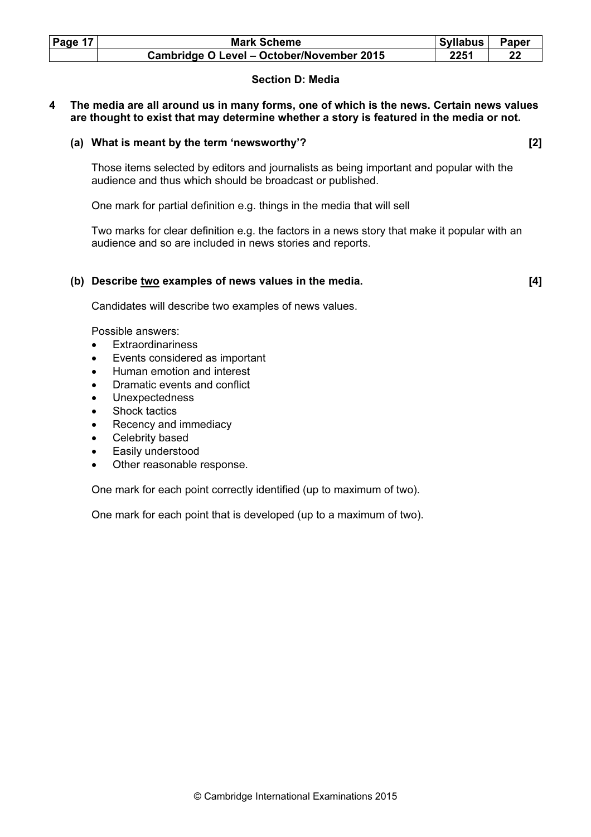| Page 17 | <b>Mark Scheme</b>                        | Syllabus | <b>Paper</b> |
|---------|-------------------------------------------|----------|--------------|
|         | Cambridge O Level - October/November 2015 | 2251     |              |

### Section D: Media

4 The media are all around us in many forms, one of which is the news. Certain news values are thought to exist that may determine whether a story is featured in the media or not.

### (a) What is meant by the term 'newsworthy'? [2]

 Those items selected by editors and journalists as being important and popular with the audience and thus which should be broadcast or published.

One mark for partial definition e.g. things in the media that will sell

 Two marks for clear definition e.g. the factors in a news story that make it popular with an audience and so are included in news stories and reports.

### (b) Describe two examples of news values in the media. [4]

Candidates will describe two examples of news values.

Possible answers:

- **Extraordinariness**
- Events considered as important
- Human emotion and interest
- Dramatic events and conflict
- Unexpectedness
- Shock tactics
- Recency and immediacy
- Celebrity based
- Easily understood
- Other reasonable response.

One mark for each point correctly identified (up to maximum of two).

One mark for each point that is developed (up to a maximum of two).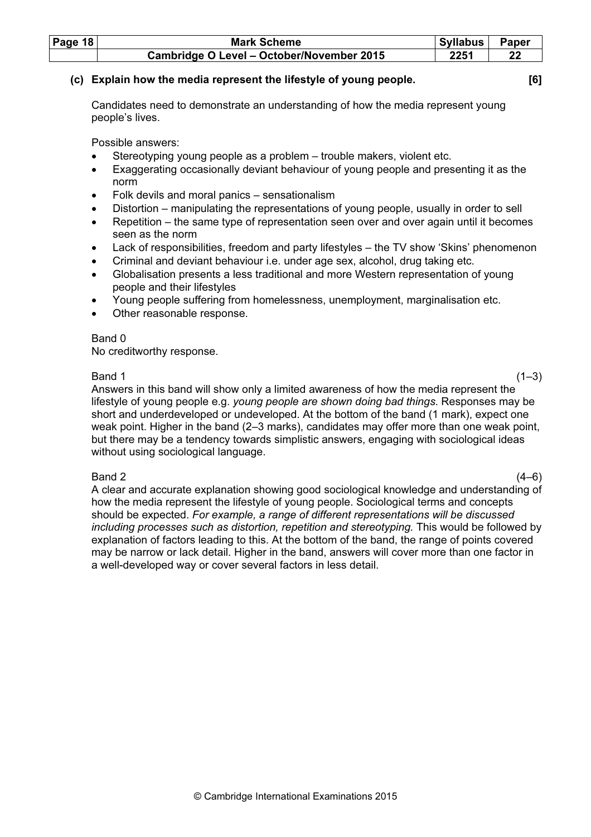| Page $18$ | <b>Mark Scheme</b>                        | Syllabus | Paper |
|-----------|-------------------------------------------|----------|-------|
|           | Cambridge O Level - October/November 2015 | 2251     |       |

### (c) Explain how the media represent the lifestyle of young people. [6]

 Candidates need to demonstrate an understanding of how the media represent young people's lives.

Possible answers:

- Stereotyping young people as a problem trouble makers, violent etc.
- Exaggerating occasionally deviant behaviour of young people and presenting it as the norm
- Folk devils and moral panics sensationalism
- Distortion manipulating the representations of young people, usually in order to sell
- Repetition the same type of representation seen over and over again until it becomes seen as the norm
- Lack of responsibilities, freedom and party lifestyles the TV show 'Skins' phenomenon
- Criminal and deviant behaviour i.e. under age sex, alcohol, drug taking etc.
- Globalisation presents a less traditional and more Western representation of young people and their lifestyles
- Young people suffering from homelessness, unemployment, marginalisation etc.
- Other reasonable response.

### Band 0

No creditworthy response.

 $Band 1$  (1–3) Answers in this band will show only a limited awareness of how the media represent the lifestyle of young people e.g. young people are shown doing bad things. Responses may be short and underdeveloped or undeveloped. At the bottom of the band (1 mark), expect one weak point. Higher in the band (2–3 marks), candidates may offer more than one weak point, but there may be a tendency towards simplistic answers, engaging with sociological ideas without using sociological language.

 $Band 2$  (4–6) A clear and accurate explanation showing good sociological knowledge and understanding of how the media represent the lifestyle of young people. Sociological terms and concepts should be expected. For example, a range of different representations will be discussed including processes such as distortion, repetition and stereotyping. This would be followed by explanation of factors leading to this. At the bottom of the band, the range of points covered may be narrow or lack detail. Higher in the band, answers will cover more than one factor in a well-developed way or cover several factors in less detail.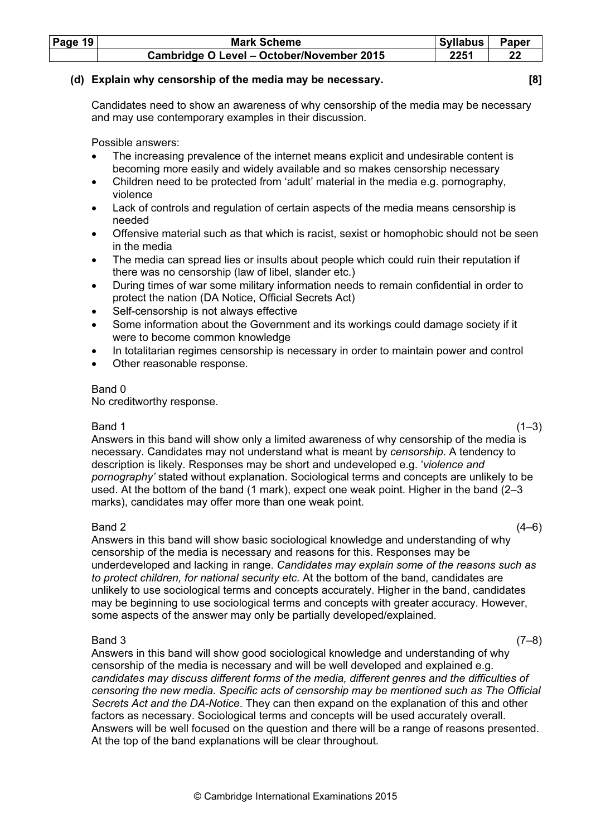| Page 19 | <b>Mark Scheme</b>                        | <b>Syllabus</b> | Paper |
|---------|-------------------------------------------|-----------------|-------|
|         | Cambridge O Level - October/November 2015 | 2251            | 22    |

### (d) Explain why censorship of the media may be necessary. [8]

 Candidates need to show an awareness of why censorship of the media may be necessary and may use contemporary examples in their discussion.

Possible answers:

- The increasing prevalence of the internet means explicit and undesirable content is becoming more easily and widely available and so makes censorship necessary
- Children need to be protected from 'adult' material in the media e.g. pornography, violence
- Lack of controls and regulation of certain aspects of the media means censorship is needed
- Offensive material such as that which is racist, sexist or homophobic should not be seen in the media
- The media can spread lies or insults about people which could ruin their reputation if there was no censorship (law of libel, slander etc.)
- During times of war some military information needs to remain confidential in order to protect the nation (DA Notice, Official Secrets Act)
- Self-censorship is not always effective
- Some information about the Government and its workings could damage society if it were to become common knowledge
- In totalitarian regimes censorship is necessary in order to maintain power and control
- Other reasonable response.

### Band 0

No creditworthy response.

 $Band 1$  (1–3) Answers in this band will show only a limited awareness of why censorship of the media is necessary. Candidates may not understand what is meant by censorship. A tendency to description is likely. Responses may be short and undeveloped e.g. 'violence and pornography' stated without explanation. Sociological terms and concepts are unlikely to be used. At the bottom of the band (1 mark), expect one weak point. Higher in the band (2–3 marks), candidates may offer more than one weak point.

 $Band 2$  (4–6) Answers in this band will show basic sociological knowledge and understanding of why censorship of the media is necessary and reasons for this. Responses may be underdeveloped and lacking in range. Candidates may explain some of the reasons such as to protect children, for national security etc. At the bottom of the band, candidates are unlikely to use sociological terms and concepts accurately. Higher in the band, candidates may be beginning to use sociological terms and concepts with greater accuracy. However, some aspects of the answer may only be partially developed/explained.

### $Band\ 3$  (7–8)

 Answers in this band will show good sociological knowledge and understanding of why censorship of the media is necessary and will be well developed and explained e.g. candidates may discuss different forms of the media, different genres and the difficulties of censoring the new media. Specific acts of censorship may be mentioned such as The Official Secrets Act and the DA-Notice. They can then expand on the explanation of this and other factors as necessary. Sociological terms and concepts will be used accurately overall. Answers will be well focused on the question and there will be a range of reasons presented. At the top of the band explanations will be clear throughout.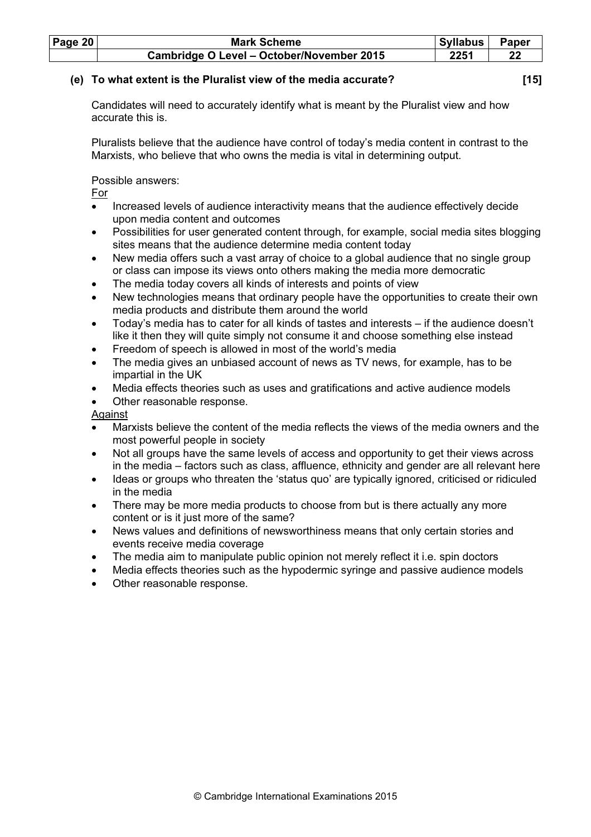| Page $20$ | <b>Mark Scheme</b>                        | <b>Syllabus</b> | <b>Paper</b> |
|-----------|-------------------------------------------|-----------------|--------------|
|           | Cambridge O Level - October/November 2015 | 2251            |              |

### (e) To what extent is the Pluralist view of the media accurate? [15]

 Candidates will need to accurately identify what is meant by the Pluralist view and how accurate this is.

 Pluralists believe that the audience have control of today's media content in contrast to the Marxists, who believe that who owns the media is vital in determining output.

Possible answers:

For

- Increased levels of audience interactivity means that the audience effectively decide upon media content and outcomes
- Possibilities for user generated content through, for example, social media sites blogging sites means that the audience determine media content today
- New media offers such a vast array of choice to a global audience that no single group or class can impose its views onto others making the media more democratic
- The media today covers all kinds of interests and points of view
- New technologies means that ordinary people have the opportunities to create their own media products and distribute them around the world
- Today's media has to cater for all kinds of tastes and interests if the audience doesn't like it then they will quite simply not consume it and choose something else instead
- Freedom of speech is allowed in most of the world's media
- The media gives an unbiased account of news as TV news, for example, has to be impartial in the UK
- Media effects theories such as uses and gratifications and active audience models
- Other reasonable response.

Against

- Marxists believe the content of the media reflects the views of the media owners and the most powerful people in society
- Not all groups have the same levels of access and opportunity to get their views across in the media – factors such as class, affluence, ethnicity and gender are all relevant here
- Ideas or groups who threaten the 'status quo' are typically ignored, criticised or ridiculed in the media
- There may be more media products to choose from but is there actually any more content or is it just more of the same?
- News values and definitions of newsworthiness means that only certain stories and events receive media coverage
- The media aim to manipulate public opinion not merely reflect it i.e. spin doctors
- Media effects theories such as the hypodermic syringe and passive audience models
- Other reasonable response.